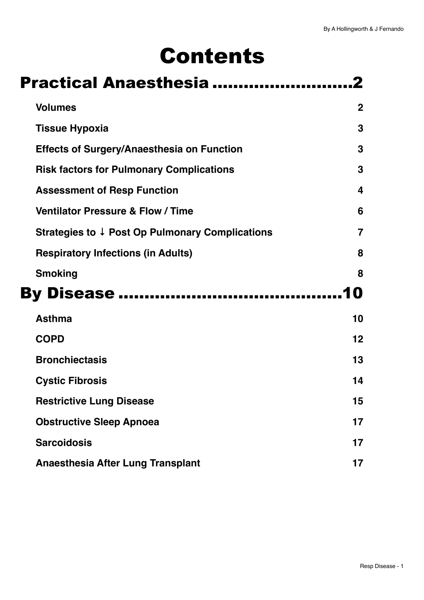# Contents

| Practical Anaesthesia                                      |                |
|------------------------------------------------------------|----------------|
| <b>Volumes</b>                                             | $\overline{2}$ |
| <b>Tissue Hypoxia</b>                                      | 3              |
| <b>Effects of Surgery/Anaesthesia on Function</b>          | 3              |
| <b>Risk factors for Pulmonary Complications</b>            | 3              |
| <b>Assessment of Resp Function</b>                         | 4              |
| <b>Ventilator Pressure &amp; Flow / Time</b>               | 6              |
| Strategies to $\downarrow$ Post Op Pulmonary Complications | $\overline{7}$ |
| <b>Respiratory Infections (in Adults)</b>                  | 8              |
| <b>Smoking</b>                                             | 8              |
| <b>By Disease </b>                                         | מו             |
| <b>Asthma</b>                                              | 10             |
| <b>COPD</b>                                                | 12             |
| <b>Bronchiectasis</b>                                      | 13             |
| <b>Cystic Fibrosis</b>                                     | 14             |
| <b>Restrictive Lung Disease</b>                            | 15             |
| <b>Obstructive Sleep Apnoea</b>                            | 17             |
| <b>Sarcoidosis</b>                                         | 17             |
| <b>Anaesthesia After Lung Transplant</b>                   | 17             |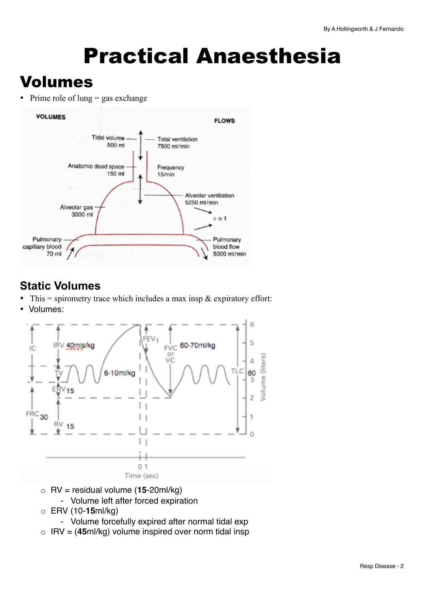# <span id="page-1-0"></span>Practical Anaesthesia

## <span id="page-1-1"></span>Volumes

• Prime role of lung  $=$  gas exchange



### **Static Volumes**

- This = spirometry trace which includes a max insp  $\&$  expiratory effort:
- Volumes:



- o RV = residual volume (**15**-20ml/kg) - Volume left after forced expiration
- o ERV (10-**15**ml/kg)
	- Volume forcefully expired after normal tidal exp
- o IRV = (**45**ml/kg) volume inspired over norm tidal insp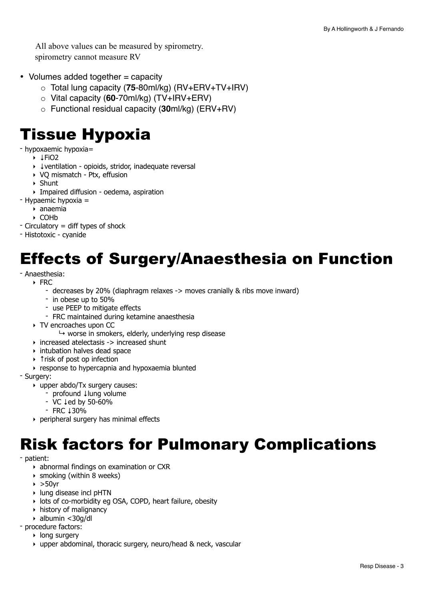All above values can be measured by spirometry. spirometry cannot measure RV

- Volumes added together = capacity
	- o Total lung capacity (**75**-80ml/kg) (RV+ERV+TV+IRV)
	- o Vital capacity (**60**-70ml/kg) (TV+IRV+ERV)
	- o Functional residual capacity (**30**ml/kg) (ERV+RV)

## <span id="page-2-0"></span>Tissue Hypoxia

- hypoxaemic hypoxia=
	- ‣ ↓FiO2
	- ‣ ↓ventilation opioids, stridor, inadequate reversal
	- ‣ VQ mismatch Ptx, effusion
	- ‣ Shunt
	- ‣ Impaired diffusion oedema, aspiration
- Hypaemic hypoxia =
	- ‣ anaemia
	- ‣ COHb
- Circulatory = diff types of shock
- Histotoxic cyanide

## <span id="page-2-1"></span>Effects of Surgery/Anaesthesia on Function

#### - Anaesthesia:

#### ‣ FRC

- decreases by 20% (diaphragm relaxes -> moves cranially & ribs move inward)
- in obese up to 50%
- use PEEP to mitigate effects
- FRC maintained during ketamine anaesthesia
- ‣ TV encroaches upon CC
	- $\rightarrow$  worse in smokers, elderly, underlying resp disease
- $\rightarrow$  increased atelectasis -> increased shunt
- ‣ intubation halves dead space
- ‣ ↑risk of post op infection
- ‣ response to hypercapnia and hypoxaemia blunted

#### - Surgery:

- ‣ upper abdo/Tx surgery causes:
	- profound ↓lung volume
	- VC ↓ed by 50-60%
	- FRC ↓30%
- ‣ peripheral surgery has minimal effects

## <span id="page-2-2"></span>Risk factors for Pulmonary Complications

- patient:

- ‣ abnormal findings on examination or CXR
- $\rightarrow$  smoking (within 8 weeks)
- $\triangleright$  >50yr
- ‣ lung disease incl pHTN
- ‣ lots of co-morbidity eg OSA, COPD, heart failure, obesity
- ‣ history of malignancy
- ‣ albumin <30g/dl
- procedure factors:
	- ‣ long surgery
	- ‣ upper abdominal, thoracic surgery, neuro/head & neck, vascular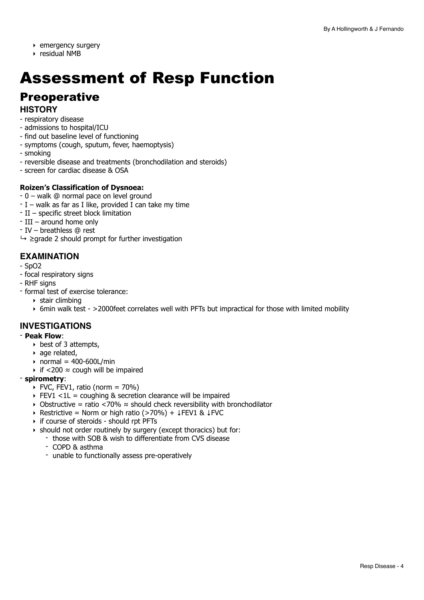- ‣ emergency surgery
- ‣ residual NMB

## <span id="page-3-0"></span>Assessment of Resp Function

### **Preoperative**

### **HISTORY**

- respiratory disease
- admissions to hospital/ICU
- find out baseline level of functioning
- symptoms (cough, sputum, fever, haemoptysis)
- smoking
- reversible disease and treatments (bronchodilation and steroids)
- screen for cardiac disease & OSA

#### **Roizen's Classification of Dysnoea:**

- 0 walk @ normal pace on level ground
- $-I$  walk as far as I like, provided I can take my time
- II specific street block limitation
- III around home only
- IV breathless @ rest
- $\rightarrow$   $\geq$  grade 2 should prompt for further investigation

### **EXAMINATION**

- SpO2
- focal respiratory signs
- RHF signs
- formal test of exercise tolerance:
	- ‣ stair climbing
	- ‣ 6min walk test >2000feet correlates well with PFTs but impractical for those with limited mobility

### **INVESTIGATIONS**

#### - **Peak Flow**:

- ‣ best of 3 attempts,
- ‣ age related,
- $\triangleright$  normal = 400-600L/min
- $\rightarrow$  if <200  $\approx$  cough will be impaired

#### - **spirometry**:

- $\triangleright$  FVC, FEV1, ratio (norm = 70%)
- $\triangleright$  FEV1 <1L = coughing & secretion clearance will be impaired
- ‣ Obstructive = ratio <70% ≈ should check reversibility with bronchodilator
- ‣ Restrictive = Norm or high ratio (>70%) + ↓FEV1 & ↓FVC
- ‣ if course of steroids should rpt PFTs
- ‣ should not order routinely by surgery (except thoracics) but for:
	- those with SOB & wish to differentiate from CVS disease
	- COPD & asthma
	- unable to functionally assess pre-operatively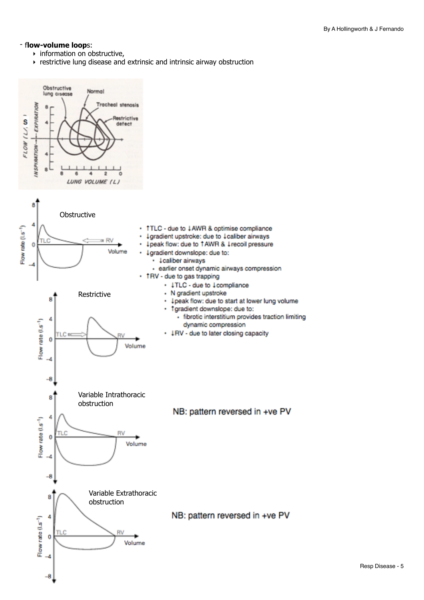Resp Disease - 5

#### - f**low-volume loop**s:

- ‣ information on obstructive,
- ‣ restrictive lung disease and extrinsic and intrinsic airway obstruction

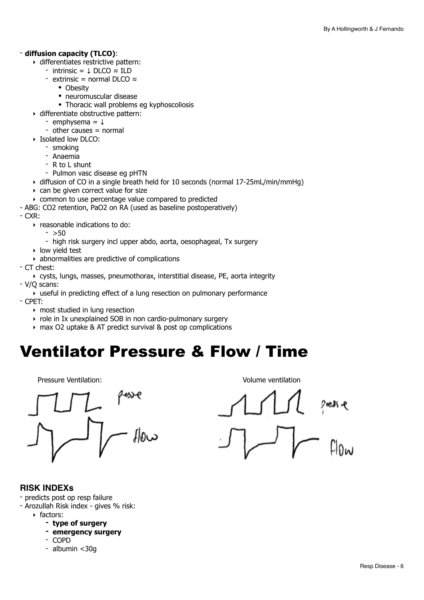#### - **diffusion capacity (TLCO)**:

- ‣ differentiates restrictive pattern:
	- intrinsic =  $\downarrow$  DLCO  $\approx$  ILD
	- extrinsic = normal DLCO ≈
		- Obesity
		- neuromuscular disease
		- Thoracic wall problems eg kyphoscoliosis
- ‣ differentiate obstructive pattern:
	- $-$  emphysema =  $\perp$
	- other causes  $=$  normal
- ‣ Isolated low DLCO:
	- smoking
	- Anaemia
	- R to L shunt
	- Pulmon vasc disease eg pHTN
- ‣ diffusion of CO in a single breath held for 10 seconds (normal 17-25mL/min/mmHg)
- ‣ can be given correct value for size
- ‣ common to use percentage value compared to predicted
- ABG: CO2 retention, PaO2 on RA (used as baseline postoperatively)

- CXR:

- ‣ reasonable indications to do:
	- $-$  >50
	- high risk surgery incl upper abdo, aorta, oesophageal, Tx surgery
- ‣ low yield test
- ‣ abnormalities are predictive of complications
- CT chest:
	- ‣ cysts, lungs, masses, pneumothorax, interstitial disease, PE, aorta integrity
- V/Q scans:

 $\overline{\bullet}$  useful in predicting effect of a lung resection on pulmonary performance - CPET:

- ‣ most studied in lung resection
- ‣ role in Ix unexplained SOB in non cardio-pulmonary surgery
- ‣ max O2 uptake & AT predict survival & post op complications

## <span id="page-5-0"></span>Ventilator Pressure & Flow / Time

Pressure Ventilation: Volume ventilation



### **RISK INDEXs**

- predicts post op resp failure
- Arozullah Risk index gives % risk:
	- ‣ factors:
		- **- type of surgery**
		- **- emergency surgery**
		- COPD
		- albumin <30g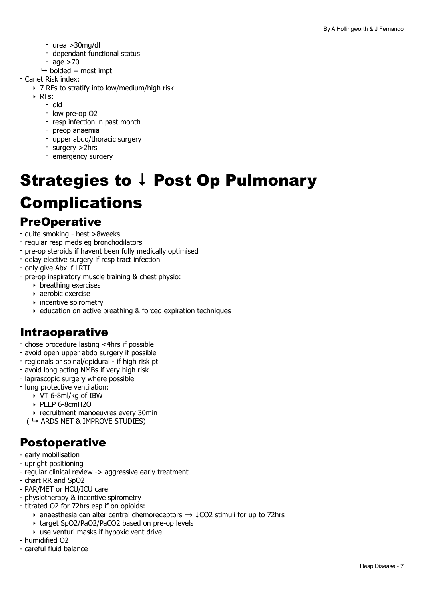- urea >30mg/dl
- dependant functional status
- age  $>70$
- $\rightarrow$  bolded = most impt
- Canet Risk index:
	- ‣ 7 RFs to stratify into low/medium/high risk
	- ‣ RFs:
		- old
		- low pre-op O2
		- resp infection in past month
		- preop anaemia
		- upper abdo/thoracic surgery
		- surgery >2hrs
		- emergency surgery

## <span id="page-6-0"></span>Strategies to **↓** Post Op Pulmonary Complications

### **PreOperative**

- quite smoking best >8weeks
- regular resp meds eg bronchodilators
- pre-op steroids if havent been fully medically optimised
- delay elective surgery if resp tract infection
- only give Abx if LRTI
- pre-op inspiratory muscle training & chest physio:
	- ‣ breathing exercises
	- ‣ aerobic exercise
	- $\rightarrow$  incentive spirometry
	- ‣ education on active breathing & forced expiration techniques

### Intraoperative

- chose procedure lasting <4hrs if possible
- avoid open upper abdo surgery if possible
- regionals or spinal/epidural if high risk pt
- avoid long acting NMBs if very high risk
- laprascopic surgery where possible
- lung protective ventilation:
	- ‣ VT 6-8ml/kg of IBW
		- ‣ PEEP 6-8cmH2O
	- ‣ recruitment manoeuvres every 30min
	- $($   $\rightarrow$  ARDS NET & IMPROVE STUDIES)

- early mobilisation
- upright positioning
- regular clinical review -> aggressive early treatment
- chart RR and SpO2
- PAR/MET or HCU/ICU care
- physiotherapy & incentive spirometry
- titrated O2 for 72hrs esp if on opioids:
	- anaesthesia can alter central chemoreceptors  $\Rightarrow$   $\downarrow$  CO2 stimuli for up to 72hrs
	- ‣ target SpO2/PaO2/PaCO2 based on pre-op levels
	- $\rightarrow$  use venturi masks if hypoxic vent drive
- humidified O2
- careful fluid balance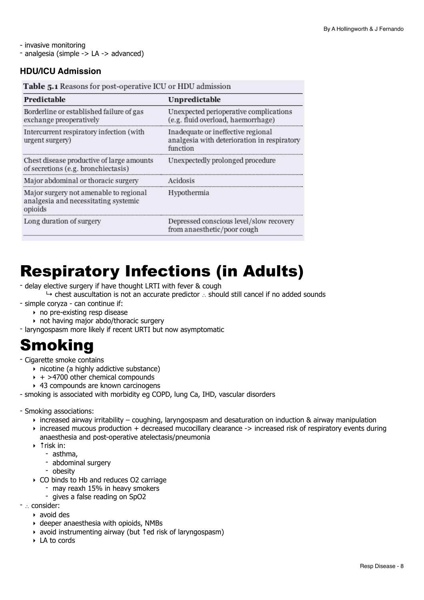- invasive monitoring - analgesia (simple -> LA -> advanced)

#### **HDU/ICU Admission**

Table 5.1 Reasons for post-operative ICU or HDU admission

| Predictable                                                                               | Unpredictable                                                                                 |
|-------------------------------------------------------------------------------------------|-----------------------------------------------------------------------------------------------|
| Borderline or established failure of gas<br>exchange preoperatively                       | Unexpected perioperative complications<br>(e.g. fluid overload, haemorrhage)                  |
| Intercurrent respiratory infection (with<br>urgent surgery)                               | Inadequate or ineffective regional<br>analgesia with deterioration in respiratory<br>function |
| Chest disease productive of large amounts<br>of secretions (e.g. bronchiectasis)          | Unexpectedly prolonged procedure                                                              |
| Major abdominal or thoracic surgery                                                       | Acidosis                                                                                      |
| Major surgery not amenable to regional<br>analgesia and necessitating systemic<br>opioids | Hypothermia                                                                                   |
| Long duration of surgery                                                                  | Depressed conscious level/slow recovery<br>from anaesthetic/poor cough                        |

## <span id="page-7-0"></span>Respiratory Infections (in Adults)

- delay elective surgery if have thought LRTI with fever & cough
- ↳ chest auscultation is not an accurate predictor ∴ should still cancel if no added sounds - simple coryza - can continue if:
	- ‣ no pre-existing resp disease
	- ‣ not having major abdo/thoracic surgery
- laryngospasm more likely if recent URTI but now asymptomatic

## <span id="page-7-1"></span>Smoking

- Cigarette smoke contains
	- ‣ nicotine (a highly addictive substance)
	- $\rightarrow$  + >4700 other chemical compounds
	- ‣ 43 compounds are known carcinogens
- smoking is associated with morbidity eg COPD, lung Ca, IHD, vascular disorders
- Smoking associations:
	- $\rightarrow$  increased airway irritability coughing, laryngospasm and desaturation on induction & airway manipulation
	- ‣ increased mucous production + decreased mucocillary clearance -> increased risk of respiratory events during anaesthesia and post-operative atelectasis/pneumonia
	- ‣ ↑risk in:
		- asthma,
		- abdominal surgery
		- obesity
	- ‣ CO binds to Hb and reduces O2 carriage
		- may reaxh 15% in heavy smokers
		- gives a false reading on SpO2
- ∴ consider:
	- ‣ avoid des
	- ‣ deeper anaesthesia with opioids, NMBs
	- ‣ avoid instrumenting airway (but ↑ed risk of laryngospasm)
	- ‣ LA to cords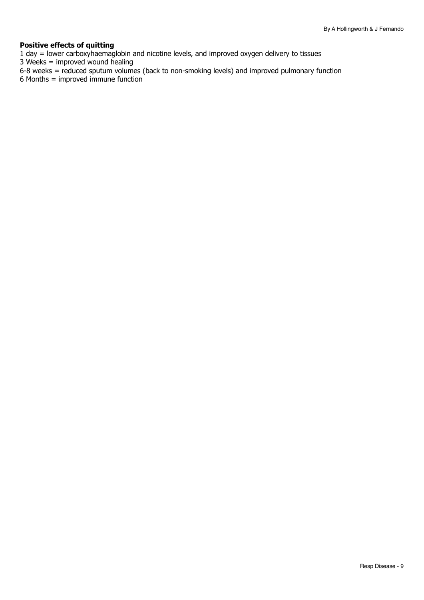#### **Positive effects of quitting**

1 day = lower carboxyhaemaglobin and nicotine levels, and improved oxygen delivery to tissues

3 Weeks = improved wound healing

- 6-8 weeks = reduced sputum volumes (back to non-smoking levels) and improved pulmonary function
- 6 Months = improved immune function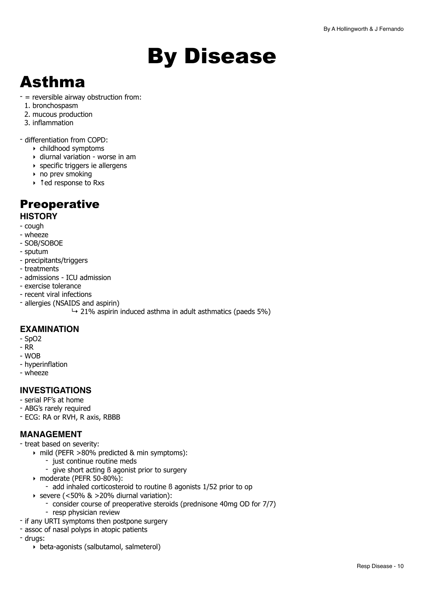# <span id="page-9-0"></span>By Disease

## <span id="page-9-1"></span>Asthma

- = reversible airway obstruction from:
- 1. bronchospasm
- 2. mucous production
- 3. inflammation

- differentiation from COPD:

- ‣ childhood symptoms
- ‣ diurnal variation worse in am
- ‣ specific triggers ie allergens
- ‣ no prev smoking
- ‣ ↑ed response to Rxs

### **Preoperative**

#### **HISTORY**

- cough
- wheeze
- SOB/SOBOE
- sputum
- precipitants/triggers
- treatments
- admissions ICU admission
- exercise tolerance
- recent viral infections
- allergies (NSAIDS and aspirin)
	- $\rightarrow$  21% aspirin induced asthma in adult asthmatics (paeds 5%)

### **EXAMINATION**

- SpO2
- RR
- WOB
- hyperinflation
- wheeze

### **INVESTIGATIONS**

- serial PF's at home
- ABG's rarely required
- ECG: RA or RVH, R axis, RBBB

### **MANAGEMENT**

- treat based on severity:
	- ‣ mild (PEFR >80% predicted & min symptoms):
		- just continue routine meds
		- give short acting ß agonist prior to surgery
	- ‣ moderate (PEFR 50-80%):
		- add inhaled corticosteroid to routine ß agonists 1/52 prior to op
	- $\triangleright$  severe (<50% & >20% diurnal variation):
		- consider course of preoperative steroids (prednisone 40mg OD for 7/7)
		- resp physician review
- if any URTI symptoms then postpone surgery
- assoc of nasal polyps in atopic patients
- drugs:
	- ‣ beta-agonists (salbutamol, salmeterol)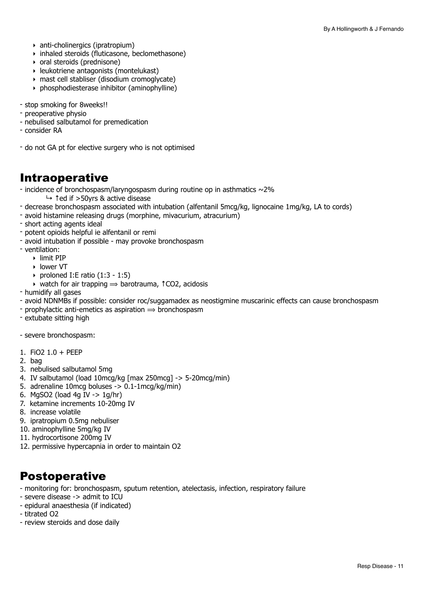- ‣ anti-cholinergics (ipratropium)
- ‣ inhaled steroids (fluticasone, beclomethasone)
- ‣ oral steroids (prednisone)
- ‣ leukotriene antagonists (montelukast)
- ‣ mast cell stabliser (disodium cromoglycate)
- ‣ phosphodiesterase inhibitor (aminophylline)
- stop smoking for 8weeks!!
- preoperative physio
- nebulised salbutamol for premedication
- consider RA
- do not GA pt for elective surgery who is not optimised

### Intraoperative

- incidence of bronchospasm/laryngospasm during routine op in asthmatics  $\sim$ 2%
	- ↳ ↑ed if >50yrs & active disease
- decrease bronchospasm associated with intubation (alfentanil 5mcg/kg, lignocaine 1mg/kg, LA to cords)
- avoid histamine releasing drugs (morphine, mivacurium, atracurium)
- short acting agents ideal
- potent opioids helpful ie alfentanil or remi
- avoid intubation if possible may provoke bronchospasm
- ventilation:
	- ‣ limit PIP
	- ‣ lower VT
	- $\rightarrow$  proloned I:E ratio (1:3 1:5)
	- $\rightarrow$  watch for air trapping  $\rightarrow$  barotrauma,  $\uparrow$  CO2, acidosis
- humidify all gases
- avoid NDNMBs if possible: consider roc/suggamadex as neostigmine muscarinic effects can cause bronchospasm
- prophylactic anti-emetics as aspiration  $\Rightarrow$  bronchospasm
- extubate sitting high
- severe bronchospasm:
- 1. FiO2 1.0 + PEEP
- 2. bag
- 3. nebulised salbutamol 5mg
- 4. IV salbutamol (load 10mcg/kg [max 250mcg] -> 5-20mcg/min)
- 5. adrenaline 10mcg boluses  $\rightarrow$  0.1-1mcg/kg/min)
- 6. MgSO2 (load 4g IV -> 1g/hr)
- 7. ketamine increments 10-20mg IV
- 8. increase volatile
- 9. ipratropium 0.5mg nebuliser
- 10. aminophylline 5mg/kg IV
- 11. hydrocortisone 200mg IV
- 12. permissive hypercapnia in order to maintain O2

- monitoring for: bronchospasm, sputum retention, atelectasis, infection, respiratory failure
- severe disease -> admit to ICU
- epidural anaesthesia (if indicated)
- titrated O2
- review steroids and dose daily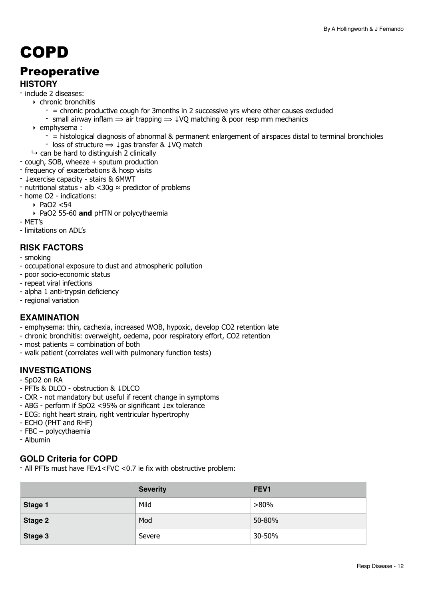## <span id="page-11-0"></span>COPD

### **Preoperative**

### **HISTORY**

- include 2 diseases:
	- ‣ chronic bronchitis
		- $-$  = chronic productive cough for 3months in 2 successive yrs where other causes excluded
		- small airway inflam  $\Rightarrow$  air trapping  $\Rightarrow$   $\downarrow$ VQ matching & poor resp mm mechanics
	- ‣ emphysema :
		- = histological diagnosis of abnormal & permanent enlargement of airspaces distal to terminal bronchioles
		- loss of structure  $\Rightarrow \downarrow$  qas transfer &  $\downarrow$  VO match
- $\rightarrow$  can be hard to distinguish 2 clinically
- cough, SOB, wheeze + sputum production
- frequency of exacerbations & hosp visits
- ↓exercise capacity stairs & 6MWT
- nutritional status alb <30g ≈ predictor of problems
- home O2 indications:
	- ‣ PaO2 <54
	- ‣ PaO2 55-60 **and** pHTN or polycythaemia
- MET's
- limitations on ADL's

### **RISK FACTORS**

- smoking
- occupational exposure to dust and atmospheric pollution
- poor socio-economic status
- repeat viral infections
- alpha 1 anti-trypsin deficiency
- regional variation

### **EXAMINATION**

- emphysema: thin, cachexia, increased WOB, hypoxic, develop CO2 retention late
- chronic bronchitis: overweight, oedema, poor respiratory effort, CO2 retention
- most patients = combination of both
- walk patient (correlates well with pulmonary function tests)

### **INVESTIGATIONS**

- SpO2 on RA
- PFTs & DLCO obstruction & ↓DLCO
- CXR not mandatory but useful if recent change in symptoms
- ABG perform if SpO2 <95% or significant ↓ex tolerance
- ECG: right heart strain, right ventricular hypertrophy
- ECHO (PHT and RHF)
- FBC polycythaemia
- Albumin

### **GOLD Criteria for COPD**

- All PFTs must have FEv1<FVC <0.7 ie fix with obstructive problem:

|         | <b>Severity</b> | FEV <sub>1</sub> |
|---------|-----------------|------------------|
| Stage 1 | Mild            | $>80\%$          |
| Stage 2 | Mod             | 50-80%           |
| Stage 3 | Severe          | 30-50%           |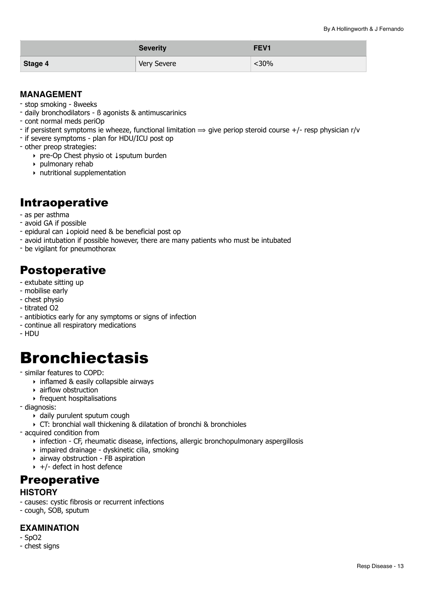|         | <b>Severity</b> | FEV <sub>1</sub> |
|---------|-----------------|------------------|
| Stage 4 | Very Severe     | <30%             |

### **MANAGEMENT**

- stop smoking 8weeks
- daily bronchodilators ß agonists & antimuscarinics
- cont normal meds periOp
- if persistent symptoms ie wheeze, functional limitation  $\Rightarrow$  give periop steroid course +/- resp physician r/v
- if severe symptoms plan for HDU/ICU post op
- other preop strategies:
	- ‣ pre-Op Chest physio ot ↓sputum burden
	- ‣ pulmonary rehab
	- ‣ nutritional supplementation

### Intraoperative

- as per asthma
- avoid GA if possible
- epidural can ↓opioid need & be beneficial post op
- avoid intubation if possible however, there are many patients who must be intubated
- be vigilant for pneumothorax

### Postoperative

- extubate sitting up
- mobilise early
- chest physio
- titrated O2
- antibiotics early for any symptoms or signs of infection
- continue all respiratory medications
- HDU

## <span id="page-12-0"></span>**Bronchiectasis**

- similar features to COPD:
	- ‣ inflamed & easily collapsible airways
	- ‣ airflow obstruction
	- ‣ frequent hospitalisations
- diagnosis:
	- ‣ daily purulent sputum cough
	- ‣ CT: bronchial wall thickening & dilatation of bronchi & bronchioles
- acquired condition from
	- ‣ infection CF, rheumatic disease, infections, allergic bronchopulmonary aspergillosis
	- ‣ impaired drainage dyskinetic cilia, smoking
	- ‣ airway obstruction FB aspiration
	- $\rightarrow$  +/- defect in host defence

### **Preoperative**

### **HISTORY**

- causes: cystic fibrosis or recurrent infections
- cough, SOB, sputum

### **EXAMINATION**

- SpO2
- chest signs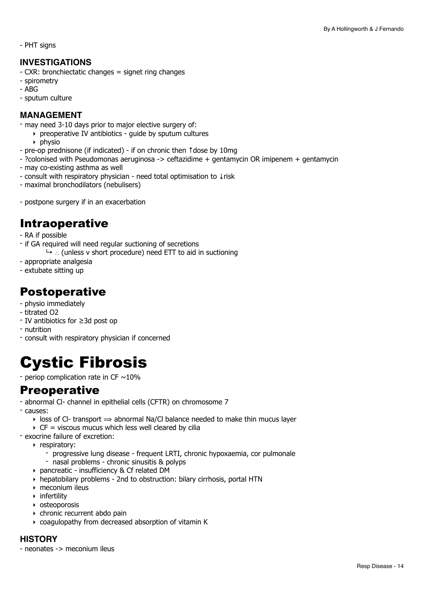- PHT signs

#### **INVESTIGATIONS**

- CXR: bronchiectatic changes = signet ring changes
- spirometry
- ABG
- sputum culture

#### **MANAGEMENT**

- may need 3-10 days prior to major elective surgery of:
	- ‣ preoperative IV antibiotics guide by sputum cultures
		- $\rightarrow$  physio
- pre-op prednisone (if indicated) if on chronic then ↑dose by 10mg
- ?colonised with Pseudomonas aeruginosa -> ceftazidime + gentamycin OR imipenem + gentamycin
- may co-existing asthma as well
- consult with respiratory physician need total optimisation to ↓risk
- maximal bronchodilators (nebulisers)
- postpone surgery if in an exacerbation

### Intraoperative

- RA if possible
- if GA required will need regular suctioning of secretions
	- ↳ ∴ (unless v short procedure) need ETT to aid in suctioning
- appropriate analgesia
- extubate sitting up

### **Postoperative**

- physio immediately
- titrated O2
- IV antibiotics for ≥3d post op
- nutrition
- consult with respiratory physician if concerned

## <span id="page-13-0"></span>Cystic Fibrosis

- periop complication rate in CF  $\sim$  10%

### **Preoperative**

- abnormal Cl- channel in epithelial cells (CFTR) on chromosome 7
- causes:
	- $\rightarrow$  loss of Cl- transport  $\rightarrow$  abnormal Na/Cl balance needed to make thin mucus layer
	- $\triangleright$  CF = viscous mucus which less well cleared by cilia
- exocrine failure of excretion:
	- ‣ respiratory:
		- progressive lung disease frequent LRTI, chronic hypoxaemia, cor pulmonale
		- nasal problems chronic sinusitis & polyps
	- ‣ pancreatic insufficiency & Cf related DM
	- ‣ hepatobilary problems 2nd to obstruction: bilary cirrhosis, portal HTN
	- ‣ meconium ileus
	- ‣ infertility
	- ‣ osteoporosis
	- ‣ chronic recurrent abdo pain
	- ‣ coagulopathy from decreased absorption of vitamin K

#### **HISTORY**

- neonates -> meconium ileus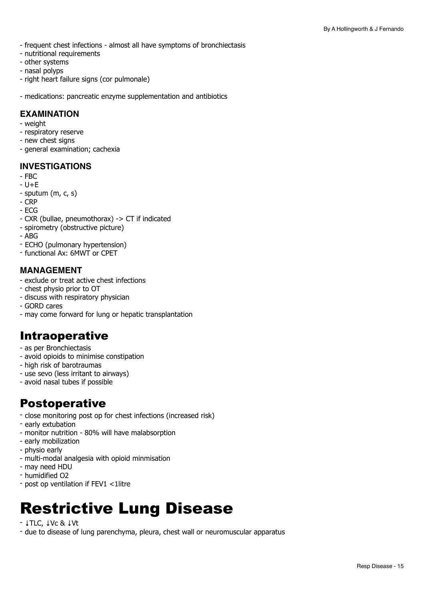- frequent chest infections almost all have symptoms of bronchiectasis
- nutritional requirements
- other systems
- nasal polyps
- right heart failure signs (cor pulmonale)

- medications: pancreatic enzyme supplementation and antibiotics

### **EXAMINATION**

- weight
- respiratory reserve
- new chest signs
- general examination; cachexia

#### **INVESTIGATIONS**

- FBC
- $U + E$
- sputum (m, c, s)
- CRP
- ECG
- CXR (bullae, pneumothorax) -> CT if indicated
- spirometry (obstructive picture)
- ABG
- ECHO (pulmonary hypertension)
- functional Ax: 6MWT or CPET

#### **MANAGEMENT**

- exclude or treat active chest infections
- chest physio prior to OT
- discuss with respiratory physician
- GORD cares
- may come forward for lung or hepatic transplantation

### Intraoperative

- as per Bronchiectasis
- avoid opioids to minimise constipation
- high risk of barotraumas
- use sevo (less irritant to airways)
- avoid nasal tubes if possible

### Postoperative

- close monitoring post op for chest infections (increased risk)
- early extubation
- monitor nutrition 80% will have malabsorption
- early mobilization
- physio early
- multi-modal analgesia with opioid minmisation
- may need HDU
- humidified O2
- post op ventilation if FEV1 <1litre

## <span id="page-14-0"></span>Restrictive Lung Disease

#### - ↓TLC, ↓Vc & ↓Vt

- due to disease of lung parenchyma, pleura, chest wall or neuromuscular apparatus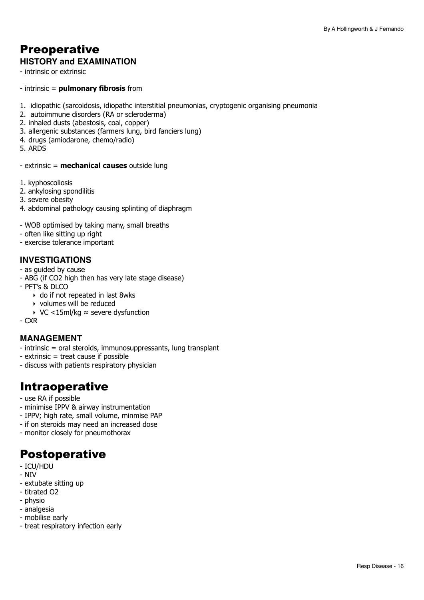## **Preoperative**

### **HISTORY and EXAMINATION**

- intrinsic or extrinsic

- intrinsic = **pulmonary fibrosis** from
- 1. idiopathic (sarcoidosis, idiopathc interstitial pneumonias, cryptogenic organising pneumonia
- 2. autoimmune disorders (RA or scleroderma)
- 2. inhaled dusts (abestosis, coal, copper)
- 3. allergenic substances (farmers lung, bird fanciers lung)
- 4. drugs (amiodarone, chemo/radio)
- 5. ARDS

- extrinsic = **mechanical causes** outside lung

- 1. kyphoscoliosis
- 2. ankylosing spondilitis
- 3. severe obesity
- 4. abdominal pathology causing splinting of diaphragm
- WOB optimised by taking many, small breaths
- often like sitting up right
- exercise tolerance important

#### **INVESTIGATIONS**

- as guided by cause
- ABG (if CO2 high then has very late stage disease)
- $-$  PFT's & DLCO
	- ‣ do if not repeated in last 8wks
	- ‣ volumes will be reduced
	- ‣ VC <15ml/kg ≈ severe dysfunction
- CXR

#### **MANAGEMENT**

- intrinsic = oral steroids, immunosuppressants, lung transplant
- extrinsic = treat cause if possible
- discuss with patients respiratory physician

### Intraoperative

- use RA if possible
- minimise IPPV & airway instrumentation
- IPPV; high rate, small volume, minmise PAP
- if on steroids may need an increased dose
- monitor closely for pneumothorax

- ICU/HDU
- NIV
- extubate sitting up
- titrated O2
- physio
- analgesia
- mobilise early
- treat respiratory infection early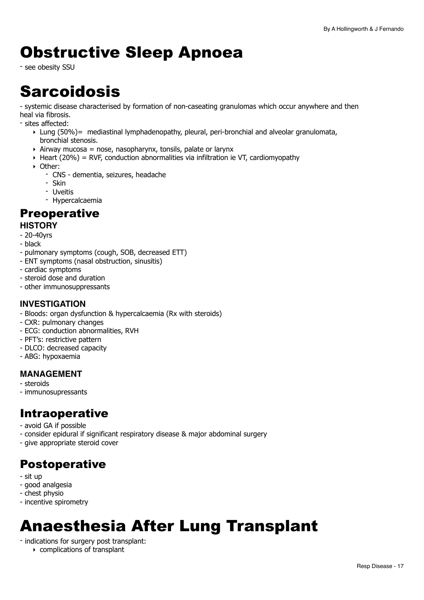## <span id="page-16-0"></span>Obstructive Sleep Apnoea

- see obesity SSU

## <span id="page-16-1"></span>**Sarcoidosis**

- systemic disease characterised by formation of non-caseating granulomas which occur anywhere and then heal via fibrosis.

- sites affected:

- $\triangleright$  Lung (50%) = mediastinal lymphadenopathy, pleural, peri-bronchial and alveolar granulomata, bronchial stenosis.
- $\rightarrow$  Airway mucosa = nose, nasopharynx, tonsils, palate or larynx
- $\rightarrow$  Heart (20%) = RVF, conduction abnormalities via infiltration ie VT, cardiomyopathy
- ‣ Other:
	- CNS dementia, seizures, headache
	- Skin
	- Uveitis
	- Hypercalcaemia

### **Preoperative**

### **HISTORY**

- 20-40yrs
- black
- pulmonary symptoms (cough, SOB, decreased ETT)
- ENT symptoms (nasal obstruction, sinusitis)
- cardiac symptoms
- steroid dose and duration
- other immunosuppressants

### **INVESTIGATION**

- Bloods: organ dysfunction & hypercalcaemia (Rx with steroids)
- CXR: pulmonary changes
- ECG: conduction abnormalities, RVH
- PFT's: restrictive pattern
- DLCO: decreased capacity
- ABG: hypoxaemia

### **MANAGEMENT**

- steroids
- immunosupressants

### Intraoperative

- avoid GA if possible
- consider epidural if significant respiratory disease & major abdominal surgery
- give appropriate steroid cover

### Postoperative

- sit up
- good analgesia
- chest physio
- incentive spirometry

## <span id="page-16-2"></span>Anaesthesia After Lung Transplant

- indications for surgery post transplant:
	- ‣ complications of transplant